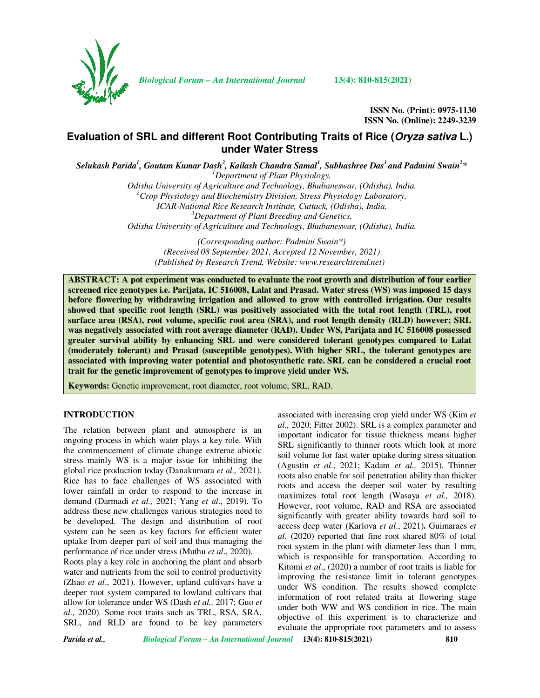

*Biological Forum – An International Journal* **13(4): 810-815(2021)**

**ISSN No. (Print): 0975-1130 ISSN No. (Online): 2249-3239** 

# **Evaluation of SRL and different Root Contributing Traits of Rice (Oryza sativa L.) under Water Stress**

 $S$ elukash Parida<sup>1</sup>, Goutam Kumar Dash<sup>2</sup>, Kailash Chandra Samal<sup>1</sup>, Subhashree Das<sup>3</sup> and Padmini Swain<sup>2</sup>\* *<sup>1</sup>Department of Plant Physiology,* 

> *Odisha University of Agriculture and Technology, Bhubaneswar, (Odisha), India. <sup>2</sup>Crop Physiology and Biochemistry Division, Stress Physiology Laboratory, ICAR-National Rice Research Institute, Cuttack, (Odisha), India. <sup>3</sup>Department of Plant Breeding and Genetics, Odisha University of Agriculture and Technology, Bhubaneswar, (Odisha), India.*

> > *(Corresponding author: Padmini Swain\*) (Received 08 September 2021, Accepted 12 November, 2021) (Published by Research Trend, Website: www.researchtrend.net)*

**ABSTRACT: A pot experiment was conducted to evaluate the root growth and distribution of four earlier screened rice genotypes i.e. Parijata, IC 516008, Lalat and Prasad. Water stress (WS) was imposed 15 days before flowering by withdrawing irrigation and allowed to grow with controlled irrigation. Our results showed that specific root length (SRL) was positively associated with the total root length (TRL), root surface area (RSA), root volume, specific root area (SRA), and root length density (RLD) however; SRL was negatively associated with root average diameter (RAD). Under WS, Parijata and IC 516008 possessed greater survival ability by enhancing SRL and were considered tolerant genotypes compared to Lalat (moderately tolerant) and Prasad (susceptible genotypes). With higher SRL, the tolerant genotypes are associated with improving water potential and photosynthetic rate. SRL can be considered a crucial root trait for the genetic improvement of genotypes to improve yield under WS.** 

**Keywords:** Genetic improvement, root diameter, root volume, SRL, RAD.

#### **INTRODUCTION**

The relation between plant and atmosphere is an ongoing process in which water plays a key role. With the commencement of climate change extreme abiotic stress mainly WS is a major issue for inhibiting the global rice production today (Danakumara *et al.,* 2021). Rice has to face challenges of WS associated with lower rainfall in order to respond to the increase in demand (Darmadi *et al.,* 2021; Yang *et al*., 2019). To address these new challenges various strategies need to be developed. The design and distribution of root system can be seen as key factors for efficient water uptake from deeper part of soil and thus managing the performance of rice under stress (Muthu *et al*., 2020).

Roots play a key role in anchoring the plant and absorb water and nutrients from the soil to control productivity (Zhao *et al*., 2021). However, upland cultivars have a deeper root system compared to lowland cultivars that allow for tolerance under WS (Dash *et al.,* 2017; Guo *et al.,* 2020). Some root traits such as TRL, RSA, SRA, SRL, and RLD are found to be key parameters

associated with increasing crop yield under WS (Kim *et al.,* 2020; Fitter 2002). SRL is a complex parameter and important indicator for tissue thickness means higher SRL significantly to thinner roots which look at more soil volume for fast water uptake during stress situation (Agustin *et al*., 2021; Kadam *et al.,* 2015). Thinner roots also enable for soil penetration ability than thicker roots and access the deeper soil water by resulting maximizes total root length (Wasaya *et al.,* 2018). However, root volume, RAD and RSA are associated significantly with greater ability towards hard soil to access deep water (Karlova *et al*., 2021)**.** Guimaraes *et al.* (2020) reported that fine root shared 80% of total root system in the plant with diameter less than 1 mm, which is responsible for transportation. According to Kitomi *et al*., (2020) a number of root traits is liable for improving the resistance limit in tolerant genotypes under WS condition. The results showed complete information of root related traits at flowering stage under both WW and WS condition in rice. The main objective of this experiment is to characterize and evaluate the appropriate root parameters and to assess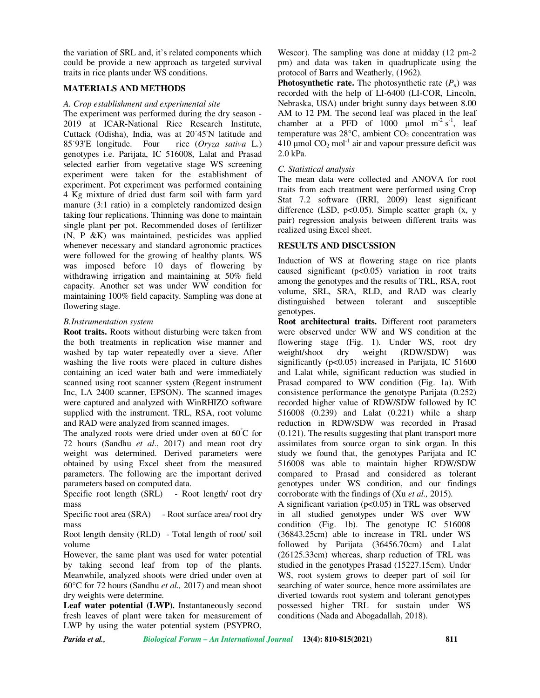the variation of SRL and, it's related components which could be provide a new approach as targeted survival traits in rice plants under WS conditions.

# **MATERIALS AND METHODS**

#### *A. Crop establishment and experimental site*

The experiment was performed during the dry season - 2019 at ICAR-National Rice Research Institute, Cuttack (Odisha), India, was at 20˙45'N latitude and 85˙93'E longitude. Four rice (*Oryza sativa* L.) genotypes i.e. Parijata, IC 516008, Lalat and Prasad selected earlier from vegetative stage WS screening experiment were taken for the establishment of experiment. Pot experiment was performed containing 4 Kg mixture of dried dust farm soil with farm yard manure (3:1 ratio) in a completely randomized design taking four replications. Thinning was done to maintain single plant per pot. Recommended doses of fertilizer (N, P &K) was maintained, pesticides was applied whenever necessary and standard agronomic practices were followed for the growing of healthy plants. WS was imposed before 10 days of flowering by withdrawing irrigation and maintaining at 50% field capacity. Another set was under WW condition for maintaining 100% field capacity. Sampling was done at flowering stage.

#### *B.Instrumentation system*

**Root traits.** Roots without disturbing were taken from the both treatments in replication wise manner and washed by tap water repeatedly over a sieve. After washing the live roots were placed in culture dishes containing an iced water bath and were immediately scanned using root scanner system (Regent instrument Inc, LA 2400 scanner, EPSON). The scanned images were captured and analyzed with WinRHIZO software supplied with the instrument. TRL, RSA, root volume and RAD were analyzed from scanned images.

The analyzed roots were dried under oven at  $60^{\circ}$ C for 72 hours (Sandhu *et al*., 2017) and mean root dry weight was determined. Derived parameters were obtained by using Excel sheet from the measured parameters. The following are the important derived parameters based on computed data.

Specific root length (SRL) - Root length/ root dry mass

Specific root area (SRA) - Root surface area/ root dry mass

Root length density (RLD) - Total length of root/ soil volume

However, the same plant was used for water potential by taking second leaf from top of the plants. Meanwhile, analyzed shoots were dried under oven at 60°C for 72 hours (Sandhu *et al.,* 2017) and mean shoot dry weights were determine.

**Leaf water potential (LWP).** Instantaneously second fresh leaves of plant were taken for measurement of LWP by using the water potential system (PSYPRO,

Wescor). The sampling was done at midday (12 pm-2 pm) and data was taken in quadruplicate using the protocol of Barrs and Weatherly, (1962).

**Photosynthetic rate.** The photosynthetic rate  $(P_n)$  was recorded with the help of LI-6400 (LI-COR, Lincoln, Nebraska, USA) under bright sunny days between 8.00 AM to 12 PM. The second leaf was placed in the leaf chamber at a PFD of 1000  $\mu$ mol m<sup>-2</sup> s<sup>-1</sup>, leaf temperature was  $28^{\circ}$ C, ambient  $CO_2$  concentration was 410 µmol  $CO<sub>2</sub>$  mol<sup>-1</sup> air and vapour pressure deficit was 2.0 kPa.

### *C. Statistical analysis*

The mean data were collected and ANOVA for root traits from each treatment were performed using Crop Stat 7.2 software (IRRI, 2009) least significant difference (LSD,  $p<0.05$ ). Simple scatter graph (x, y pair) regression analysis between different traits was realized using Excel sheet.

# **RESULTS AND DISCUSSION**

Induction of WS at flowering stage on rice plants caused significant  $(p<0.05)$  variation in root traits among the genotypes and the results of TRL, RSA, root volume, SRL, SRA, RLD, and RAD was clearly distinguished between tolerant and susceptible genotypes.

**Root architectural traits.** Different root parameters were observed under WW and WS condition at the flowering stage (Fig. 1). Under WS, root dry weight/shoot dry weight (RDW/SDW) was significantly  $(p<0.05)$  increased in Parijata, IC 51600 and Lalat while, significant reduction was studied in Prasad compared to WW condition (Fig. 1a). With consistence performance the genotype Parijata (0.252) recorded higher value of RDW/SDW followed by IC 516008 (0.239) and Lalat (0.221) while a sharp reduction in RDW/SDW was recorded in Prasad (0.121). The results suggesting that plant transport more assimilates from source organ to sink organ. In this study we found that, the genotypes Parijata and IC 516008 was able to maintain higher RDW/SDW compared to Prasad and considered as tolerant genotypes under WS condition, and our findings corroborate with the findings of (Xu *et al.,* 2015).

A significant variation  $(p<0.05)$  in TRL was observed in all studied genotypes under WS over WW condition (Fig. 1b). The genotype IC 516008 (36843.25cm) able to increase in TRL under WS followed by Parijata (36456.70cm) and Lalat (26125.33cm) whereas, sharp reduction of TRL was studied in the genotypes Prasad (15227.15cm). Under WS, root system grows to deeper part of soil for searching of water source, hence more assimilates are diverted towards root system and tolerant genotypes possessed higher TRL for sustain under WS conditions (Nada and Abogadallah, 2018).

*Parida et al., Biological Forum – An International Journal* **13(4): 810-815(2021) 811**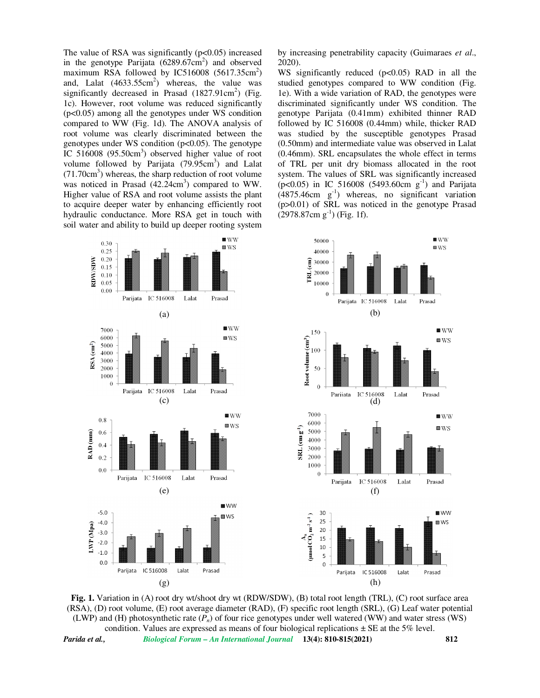The value of RSA was significantly  $(p<0.05)$  increased in the genotype Parijata  $(6289.67 \text{cm}^2)$  and observed maximum RSA followed by IC516008  $(5617.35 \text{cm}^2)$ and, Lalat  $(4633.55cm<sup>2</sup>)$  whereas, the value was significantly decreased in Prasad  $(1827.91 \text{cm}^2)$  (Fig. 1c). However, root volume was reduced significantly (p<0.05) among all the genotypes under WS condition compared to WW (Fig. 1d). The ANOVA analysis of root volume was clearly discriminated between the genotypes under WS condition  $(p<0.05)$ . The genotype IC 516008 (95.50cm<sup>3</sup>) observed higher value of root volume followed by Parijata  $(79.95cm<sup>3</sup>)$  and Lalat (71.70cm<sup>3</sup> ) whereas, the sharp reduction of root volume was noticed in Prasad  $(42.24 \text{cm}^3)$  compared to WW. Higher value of RSA and root volume assists the plant to acquire deeper water by enhancing efficiently root hydraulic conductance. More RSA get in touch with soil water and ability to build up deeper rooting system

by increasing penetrability capacity (Guimaraes *et al*., 2020).

WS significantly reduced (p<0.05) RAD in all the studied genotypes compared to WW condition (Fig. 1e). With a wide variation of RAD, the genotypes were discriminated significantly under WS condition. The genotype Parijata (0.41mm) exhibited thinner RAD followed by IC 516008 (0.44mm) while, thicker RAD was studied by the susceptible genotypes Prasad (0.50mm) and intermediate value was observed in Lalat (0.46mm). SRL encapsulates the whole effect in terms of TRL per unit dry biomass allocated in the root system. The values of SRL was significantly increased  $(p<0.05)$  in IC 516008 (5493.60cm g<sup>-1</sup>) and Parijata  $(4875.46cm \text{ g}^{-1})$  whereas, no significant variation (p>0.01) of SRL was noticed in the genotype Prasad  $(2978.87cm g<sup>-1</sup>)$  (Fig. 1f).



**Fig. 1.** Variation in (A) root dry wt/shoot dry wt (RDW/SDW), (B) total root length (TRL), (C) root surface area (RSA), (D) root volume, (E) root average diameter (RAD), (F) specific root length (SRL), (G) Leaf water potential (LWP) and (H) photosynthetic rate (*Pn*) of four rice genotypes under well watered (WW) and water stress (WS) condition. Values are expressed as means of four biological replications  $\pm$  SE at the 5% level.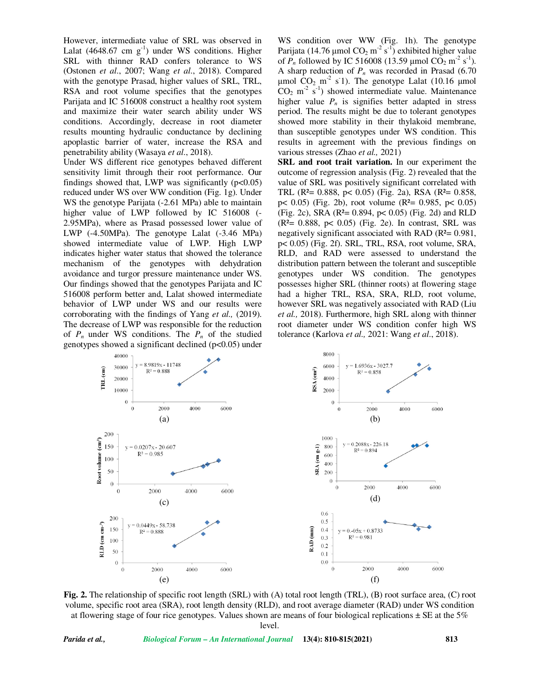However, intermediate value of SRL was observed in Lalat (4648.67 cm  $g^{-1}$ ) under WS conditions. Higher SRL with thinner RAD confers tolerance to WS (Ostonen *et al*., 2007; Wang *et al*., 2018). Compared with the genotype Prasad, higher values of SRL, TRL, RSA and root volume specifies that the genotypes Parijata and IC 516008 construct a healthy root system and maximize their water search ability under WS conditions. Accordingly, decrease in root diameter results mounting hydraulic conductance by declining apoplastic barrier of water, increase the RSA and penetrability ability (Wasaya *et al*., 2018).

Under WS different rice genotypes behaved different sensitivity limit through their root performance. Our findings showed that, LWP was significantly  $(p<0.05)$ reduced under WS over WW condition (Fig. 1g). Under WS the genotype Parijata (-2.61 MPa) able to maintain higher value of LWP followed by IC 516008 (- 2.95MPa), where as Prasad possessed lower value of LWP (-4.50MPa). The genotype Lalat (-3.46 MPa) showed intermediate value of LWP. High LWP indicates higher water status that showed the tolerance mechanism of the genotypes with dehydration avoidance and turgor pressure maintenance under WS. Our findings showed that the genotypes Parijata and IC 516008 perform better and, Lalat showed intermediate behavior of LWP under WS and our results were corroborating with the findings of Yang *et al.,* (2019). The decrease of LWP was responsible for the reduction of  $P_n$  under WS conditions. The  $P_n$  of the studied genotypes showed a significant declined (p<0.05) under WS condition over WW (Fig. 1h). The genotype Parijata (14.76 µmol  $CO_2$  m<sup>-2</sup> s<sup>-1</sup>) exhibited higher value of  $P_n$  followed by IC 516008 (13.59 µmol CO<sub>2</sub> m<sup>-2</sup> s<sup>-1</sup>). A sharp reduction of *Pn* was recorded in Prasad (6.70  $\mu$ mol  $CO_2$  m<sup>-2</sup> s<sup>-</sup>1). The genotype Lalat (10.16  $\mu$ mol  $CO<sub>2</sub>$  m<sup>-2</sup> s<sup>-1</sup>) showed intermediate value. Maintenance higher value  $P_n$  is signifies better adapted in stress period. The results might be due to tolerant genotypes showed more stability in their thylakoid membrane, than susceptible genotypes under WS condition. This results in agreement with the previous findings on various stresses (Zhao *et al.,* 2021)

**SRL and root trait variation.** In our experiment the outcome of regression analysis (Fig. 2) revealed that the value of SRL was positively significant correlated with TRL ( $R^2$ = 0.888,  $p$ < 0.05) (Fig. 2a), RSA ( $R^2$ = 0.858, p< 0.05) (Fig. 2b), root volume ( $R<sup>2</sup>= 0.985$ ,  $p< 0.05$ ) (Fig. 2c), SRA ( $R^2 = 0.894$ ,  $p < 0.05$ ) (Fig. 2d) and RLD  $(R<sup>2</sup>= 0.888, p< 0.05)$  (Fig. 2e). In contrast, SRL was negatively significant associated with RAD (R²= 0.981, p< 0.05) (Fig. 2f). SRL, TRL, RSA, root volume, SRA, RLD, and RAD were assessed to understand the distribution pattern between the tolerant and susceptible genotypes under WS condition. The genotypes possesses higher SRL (thinner roots) at flowering stage had a higher TRL, RSA, SRA, RLD, root volume, however SRL was negatively associated with RAD (Liu *et al.,* 2018). Furthermore, high SRL along with thinner root diameter under WS condition confer high WS tolerance (Karlova *et al.,* 2021: Wang *et al*., 2018).



**Fig. 2.** The relationship of specific root length (SRL) with (A) total root length (TRL), (B) root surface area, (C) root volume, specific root area (SRA), root length density (RLD), and root average diameter (RAD) under WS condition at flowering stage of four rice genotypes. Values shown are means of four biological replications  $\pm$  SE at the 5% level.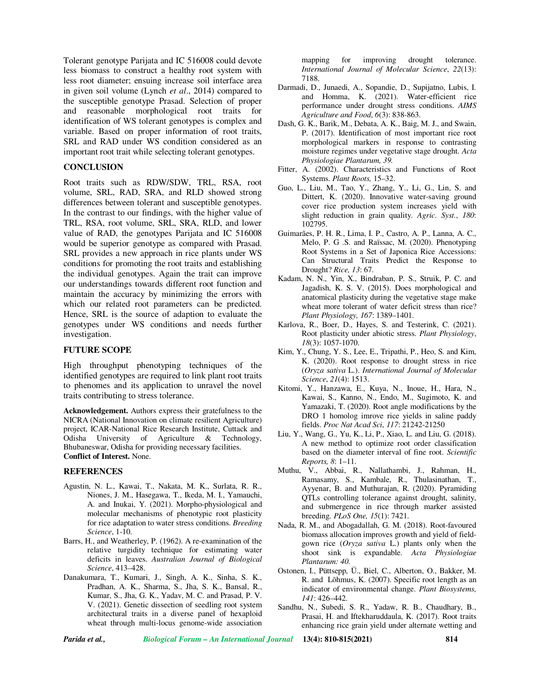Tolerant genotype Parijata and IC 516008 could devote less biomass to construct a healthy root system with less root diameter; ensuing increase soil interface area in given soil volume (Lynch *et al*., 2014) compared to the susceptible genotype Prasad. Selection of proper and reasonable morphological root traits for identification of WS tolerant genotypes is complex and variable. Based on proper information of root traits, SRL and RAD under WS condition considered as an important root trait while selecting tolerant genotypes.

# **CONCLUSION**

Root traits such as RDW/SDW, TRL, RSA, root volume, SRL, RAD, SRA, and RLD showed strong differences between tolerant and susceptible genotypes. In the contrast to our findings, with the higher value of TRL, RSA, root volume, SRL, SRA, RLD, and lower value of RAD, the genotypes Parijata and IC 516008 would be superior genotype as compared with Prasad. SRL provides a new approach in rice plants under WS conditions for promoting the root traits and establishing the individual genotypes. Again the trait can improve our understandings towards different root function and maintain the accuracy by minimizing the errors with which our related root parameters can be predicted. Hence, SRL is the source of adaption to evaluate the genotypes under WS conditions and needs further investigation.

### **FUTURE SCOPE**

High throughput phenotyping techniques of the identified genotypes are required to link plant root traits to phenomes and its application to unravel the novel traits contributing to stress tolerance.

**Acknowledgement.** Authors express their gratefulness to the NICRA (National Innovation on climate resilient Agriculture) project, ICAR-National Rice Research Institute, Cuttack and Odisha University of Agriculture & Technology, Bhubaneswar, Odisha for providing necessary facilities. **Conflict of Interest.** None.

#### **REFERENCES**

- Agustin, N. L., Kawai, T., Nakata, M. K., Surlata, R. R., Niones, J. M., Hasegawa, T., Ikeda, M. I., Yamauchi, A. and Inukai, Y. (2021). Morpho-physiological and molecular mechanisms of phenotypic root plasticity for rice adaptation to water stress conditions. *Breeding Science*, 1-10.
- Barrs, H., and Weatherley, P. (1962). A re-examination of the relative turgidity technique for estimating water deficits in leaves. *Australian Journal of Biological Science*, 413–428.
- Danakumara, T., Kumari, J., Singh, A. K., Sinha, S. K., Pradhan, A. K., Sharma, S., Jha, S. K., Bansal, R., Kumar, S., Jha, G. K., Yadav, M. C. and Prasad, P. V. V. (2021). Genetic dissection of seedling root system architectural traits in a diverse panel of hexaploid wheat through multi-locus genome-wide association

mapping for improving drought tolerance. *International Journal of Molecular Science*, *22*(13): 7188.

- Darmadi, D., Junaedi, A., Sopandie, D., Supijatno, Lubis, I. and Homma, K. (2021). Water-efficient rice performance under drought stress conditions. *AIMS Agriculture and Food*, *6*(3): 838-863.
- Dash, G. K., Barik, M., Debata, A. K., Baig, M. J., and Swain, P. (2017). Identification of most important rice root morphological markers in response to contrasting moisture regimes under vegetative stage drought. *Acta Physiologiae Plantarum, 39.*
- Fitter, A. (2002). Characteristics and Functions of Root Systems. *Plant Roots,* 15–32.
- Guo, L., Liu, M., Tao, Y., Zhang, Y., Li, G., Lin, S. and Dittert, K. (2020). Innovative water-saving ground cover rice production system increases yield with slight reduction in grain quality. *Agric. Syst.*, *180*: 102795.
- Guimarães, P. H. R., Lima, I. P., Castro, A. P., Lanna, A. C., Melo, P. G .S. and Raïssac, M. (2020). Phenotyping Root Systems in a Set of Japonica Rice Accessions: Can Structural Traits Predict the Response to Drought? *Rice, 13*: 67.
- Kadam, N. N., Yin, X., Bindraban, P. S., Struik, P. C. and Jagadish, K. S. V. (2015). Does morphological and anatomical plasticity during the vegetative stage make wheat more tolerant of water deficit stress than rice? *Plant Physiology, 167*: 1389–1401.
- Karlova, R., Boer, D., Hayes, S. and Testerink, C. (2021). Root plasticity under abiotic stress. *Plant Physiology*, *18*(3): 1057-1070.
- Kim, Y., Chung, Y. S., Lee, E., Tripathi, P., Heo, S. and Kim, K. (2020). Root response to drought stress in rice (*Oryza sativa* L.). *International Journal of Molecular Science*, *21*(4): 1513.
- Kitomi, Y., Hanzawa, E., Kuya, N., Inoue, H., Hara, N., Kawai, S., Kanno, N., Endo, M., Sugimoto, K. and Yamazaki, T. (2020). Root angle modifications by the DRO 1 homolog imrove rice yields in saline paddy fields. *Proc Nat Acad Sci*, *117*: 21242-21250
- Liu, Y., Wang, G., Yu, K., Li, P., Xiao, L. and Liu, G. (2018). A new method to optimize root order classification based on the diameter interval of fine root. *Scientific Reports, 8*: 1–11.
- Muthu, V., Abbai, R., Nallathambi, J., Rahman, H., Ramasamy, S., Kambale, R., Thulasinathan, T., Ayyenar, B. and Muthurajan, R. (2020). Pyramiding QTLs controlling tolerance against drought, salinity, and submergence in rice through marker assisted breeding. *PLoS One, 15*(1): 7421.
- Nada, R. M., and Abogadallah, G. M. (2018). Root-favoured biomass allocation improves growth and yield of fieldgown rice (*Oryza sativa* L.) plants only when the shoot sink is expandable. *Acta Physiologiae Plantarum: 40*.
- Ostonen, I., Püttsepp, Ü., Biel, C., Alberton, O., Bakker, M. R. and Lõhmus, K. (2007). Specific root length as an indicator of environmental change. *Plant Biosystems, 141*: 426–442.
- Sandhu, N., Subedi, S. R., Yadaw, R. B., Chaudhary, B., Prasai, H. and Iftekharuddaula, K. (2017). Root traits enhancing rice grain yield under alternate wetting and

*Parida et al., Biological Forum – An International Journal* **13(4): 810-815(2021) 814**